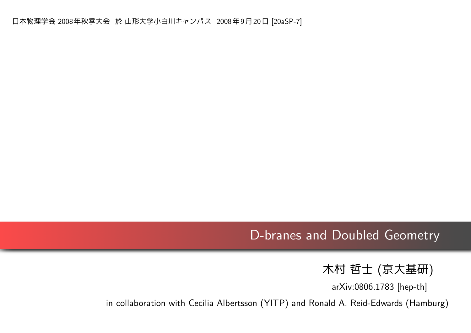## D-branes and Doubled Geometry

木村 哲士 (京大基研)

arXiv:0806.1783 [hep-th]

in collaboration with Cecilia Albertsson (YITP) and Ronald A. Reid-Edwards (Hamburg)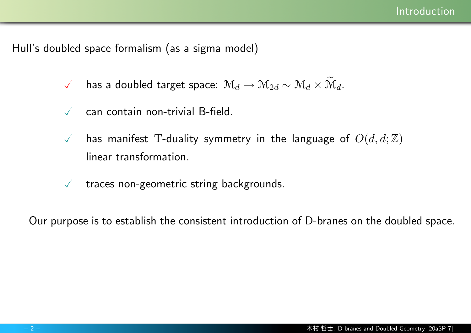Hull's doubled space formalism (as a sigma model)

- $\checkmark$  has a doubled target space:  $\mathcal{M}_d \to \mathcal{M}_{2d} \sim \mathcal{M}_d \times \mathcal{M}_d$ .
- $\sqrt{ }$  can contain non-trivial B-field.
- $\sqrt{ }$  has manifest T-duality symmetry in the language of  $O(d,d;\mathbb{Z})$ linear transformation.
- $\sqrt{ }$  traces non-geometric string backgrounds.

Our purpose is to establish the consistent introduction of D-branes on the doubled space.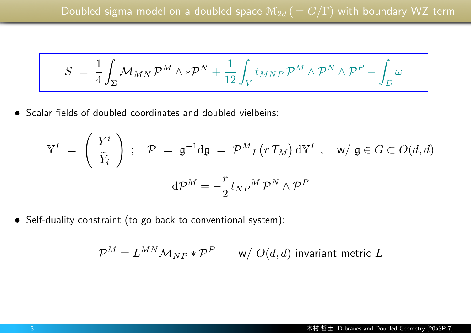$$
S \;=\; \frac{1}{4}\int_{\Sigma} \mathcal{M}_{MN}\,\mathcal{P}^M\wedge *\mathcal{P}^N + \frac{1}{12}\int_V t_{MNP}\,\mathcal{P}^M\wedge \mathcal{P}^N\wedge \mathcal{P}^P - \int_D \omega
$$

*•* Scalar fields of doubled coordinates and doubled vielbeins:

$$
\mathbb{Y}^{I} = \begin{pmatrix} Y^{i} \\ \tilde{Y}_{i} \end{pmatrix} ; \quad \mathcal{P} = \mathfrak{g}^{-1} d\mathfrak{g} = \mathcal{P}^{M}{}_{I} (r T_{M}) d\mathbb{Y}^{I} , \quad \mathsf{w}/\mathfrak{g} \in G \subset O(d,d)
$$

$$
d\mathcal{P}^{M} = -\frac{r}{2} t_{NP}{}^{M} \mathcal{P}^{N} \wedge \mathcal{P}^{P}
$$

*•* Self-duality constraint (to go back to conventional system):

$$
\mathcal{P}^M = L^{MN} \mathcal{M}_{NP} * \mathcal{P}^P \qquad \text{w/ } O(d,d) \text{ invariant metric } L
$$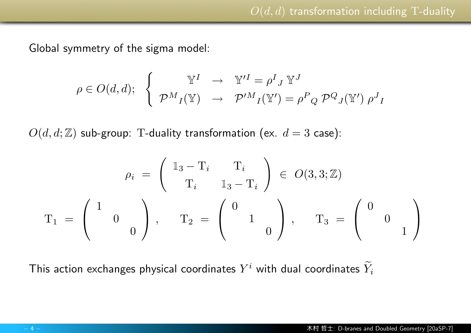Global symmetry of the sigma model:

$$
\rho \in O(d,d); \quad \left\{ \begin{array}{ccc} \mathbb{Y}^I & \to & \mathbb{Y}'^I = \rho^I{}_J \ \mathbb{Y}^J \\ \mathcal{P}^M{}_I(\mathbb{Y}) & \to & \mathcal{P}'^M{}_I(\mathbb{Y}') = \rho^P{}_Q \ \mathcal{P}^Q{}_J(\mathbb{Y}') \ \rho^J{}_I \end{array} \right.
$$

 $O(d, d; \mathbb{Z})$  sub-group: T-duality transformation (ex.  $d = 3$  case):

$$
\rho_i = \begin{pmatrix} 1_3 - T_i & T_i \\ T_i & 1_3 - T_i \end{pmatrix} \in O(3, 3; \mathbb{Z})
$$

$$
T_1 = \begin{pmatrix} 1 & 0 \\ 0 & 0 \end{pmatrix}, \quad T_2 = \begin{pmatrix} 0 & 0 \\ 1 & 0 \end{pmatrix}, \quad T_3 = \begin{pmatrix} 0 & 0 \\ 0 & 1 \end{pmatrix}
$$

This action exchanges physical coordinates  $Y^i$  with dual coordinates  $\widetilde{Y}_i$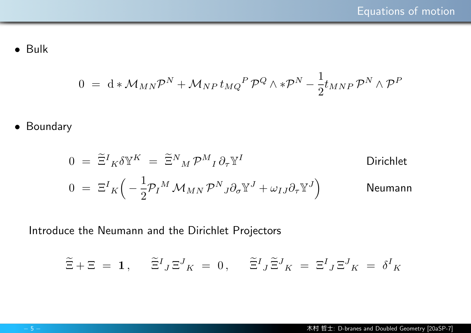*•* Bulk

$$
0 = d * \mathcal{M}_{MN} \mathcal{P}^N + \mathcal{M}_{NP} t_{MQ}{}^P \mathcal{P}^Q \wedge * \mathcal{P}^N - \frac{1}{2} t_{MNP} \mathcal{P}^N \wedge \mathcal{P}^P
$$

*•* Boundary

$$
0 = \tilde{\Xi}^{I}{}_{K}\delta \mathbb{Y}^{K} = \tilde{\Xi}^{N}{}_{M}\mathcal{P}^{M}{}_{I}\partial_{\tau}\mathbb{Y}^{I}
$$
Dirichlet  
\n
$$
0 = \Xi^{I}{}_{K}\left(-\frac{1}{2}\mathcal{P}_{I}{}^{M}\mathcal{M}_{MN}\mathcal{P}^{N}{}_{J}\partial_{\sigma}\mathbb{Y}^{J} + \omega_{IJ}\partial_{\tau}\mathbb{Y}^{J}\right)
$$
Neumann

Introduce the Neumann and the Dirichlet Projectors

$$
\widetilde{\Xi} + \Xi = 1, \quad \widetilde{\Xi}^{I}{}_{J} \Xi^{J}{}_{K} = 0, \quad \widetilde{\Xi}^{I}{}_{J} \widetilde{\Xi}^{J}{}_{K} = \Xi^{I}{}_{J} \Xi^{J}{}_{K} = \delta^{I}{}_{K}
$$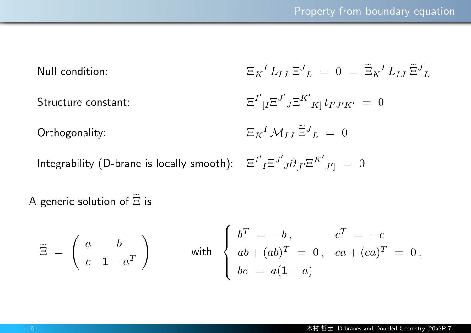| Null condition:                                                                                          | $\Xi_K{}^I L_{IJ} \Xi^J{}_L = 0 = \widetilde{\Xi}_K{}^I L_{IJ} \widetilde{\Xi}^J{}_L$         |
|----------------------------------------------------------------------------------------------------------|-----------------------------------------------------------------------------------------------|
| Structure constant:                                                                                      | $\Xi^{I'}_{\phantom{I} [I} \Xi^{J'}_{\phantom{J} J} \Xi^{K'}_{\phantom{K} K]} t_{I'J'K'} = 0$ |
| Orthogonality:                                                                                           | $\Xi_K{}^I \mathcal{M}_{IJ} \widetilde{\Xi}^J{}_{L} = 0$                                      |
| Integrability (D-brane is locally smooth): $\Xi^{I'}{}_I \Xi^{J'}{}_J \partial_{[I'} \Xi^{K'}{}_{J'}]=0$ |                                                                                               |

A generic solution of  $\widetilde{\Xi}$  is

$$
\widetilde{\Xi} = \left(\begin{array}{cc} a & b \\ c & \mathbf{1} - a^T \end{array}\right) \qquad \text{with} \quad \left\{\begin{array}{cc} b^T = -b \,, & c^T = -c \\ ab + (ab)^T = 0 \,, & ca + (ca)^T = 0 \,, \\ bc = a(1 - a) \end{array}\right.
$$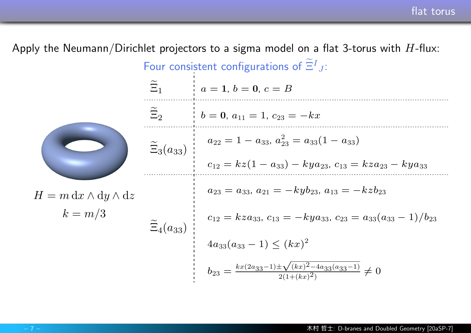Apply the Neumann/Dirichlet projectors to a sigma model on a flat 3-torus with *H*-flux:  $H = m dx \wedge dy \wedge dz$  $k = m/3$ Four consistent configurations of  $\tilde{\Xi}^I_{J}$ :  $\widetilde{\Xi}_1$   $a = 1, b = 0, c = B$  $\widetilde{\Xi}_2$  **b** = **0**,  $a_{11} = 1$ ,  $c_{23} = -kx$  $\Xi_3(a_{33})$  $a_{22} = 1 - a_{33}, a_{23}^2 = a_{33}(1 - a_{33})$  $c_{12} = kz(1 - a_{33}) - kya_{23}, c_{13} = kza_{23} - kya_{33}$  $\widetilde{\Xi}_4(a_{33})$  $a_{23} = a_{33}, a_{21} = -kyb_{23}, a_{13} = -kzb_{23}$  $c_{12} = kza_{33}, c_{13} = -kya_{33}, c_{23} = a_{33}(a_{33} - 1)/b_{23}$  $4a_{33}(a_{33}-1) \leq (kx)^2$  $b_{23} = \frac{kx(2a_{33}-1)\pm \sqrt{2}}{2}$ *√* (*kx*) <sup>2</sup>*−*4*a*33(*a*33*−*1)  $\frac{2(1+(kx)^2)-4a_33(a_3x-1)}{2(1+(kx)^2)} \neq 0$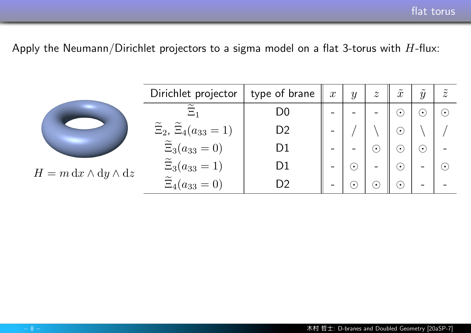Apply the Neumann/Dirichlet projectors to a sigma model on a flat 3-torus with *H*-flux:

|                                | Dirichlet projector                                 | type of brane                         | $\boldsymbol{x}$         | $\mathcal{Y}$          | $\boldsymbol{z}$ | $\mathcal{X}$            | $\mathcal{Y}$               | $\widetilde{z}$        |
|--------------------------------|-----------------------------------------------------|---------------------------------------|--------------------------|------------------------|------------------|--------------------------|-----------------------------|------------------------|
|                                | $\Xi_1$                                             | D <sub>0</sub>                        | $\overline{\phantom{a}}$ |                        | Ξ.               | $\odot$                  | $\overset{\bullet}{\smile}$ | $(\bullet)$            |
|                                | $\widetilde{\Xi}_2$ , $\widetilde{\Xi}_4(a_{33}=1)$ | D2                                    |                          |                        |                  | $\left( \bullet \right)$ |                             |                        |
|                                | $\tilde{\Xi}_3(a_{33}=0)$                           | D1                                    | -                        | $\sim$                 | $(\bullet)$      | $(\bm{\cdot})$           | $(\bm{\cdot})$              |                        |
| $H = m dx \wedge dy \wedge dz$ | $\widetilde{\Xi}_3(a_{33}=1)$                       | $\begin{array}{c} \hline \end{array}$ | $\blacksquare$           | $(\boldsymbol{\cdot})$ | $\equiv$         | $\odot$                  | $\equiv$                    | $(\boldsymbol{\cdot})$ |
|                                | $\widetilde{\Xi}_4(a_{33}=0)$                       | $\bigcap$                             | -                        | $(\,\bullet\,)$        | $(\bullet)$      | $\bigodot$               | $\equiv$                    |                        |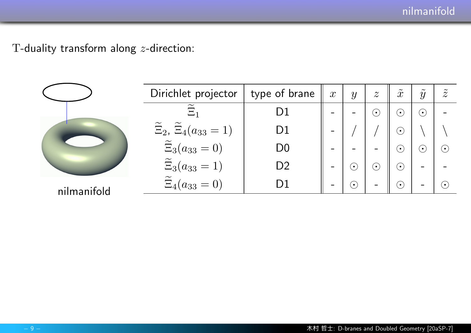T-duality transform along *z*-direction:

|             | Dirichlet projector                                 | type of brane  | $\boldsymbol{x}$ | y           | $\boldsymbol{z}$ | $\mathcal{X}$            | $\tilde{\phantom{a}}$<br>$\mathcal{Y}$ | $\widetilde{z}$ |
|-------------|-----------------------------------------------------|----------------|------------------|-------------|------------------|--------------------------|----------------------------------------|-----------------|
|             | $\Xi_1$                                             | D1             |                  |             | $(\bullet)$      | $(\,\bullet\,)$          | $(\,\bullet\,)$                        |                 |
|             | $\widetilde{\Xi}_2$ , $\widetilde{\Xi}_4(a_{33}=1)$ | D1             |                  |             |                  | $\left( \bullet \right)$ |                                        |                 |
|             | $\widetilde{\Xi}_3(a_{33}=0)$                       | D <sub>0</sub> |                  |             |                  | $(\bullet)$              | $(\boldsymbol{\cdot})$                 | $(\bullet)$     |
|             | $\widetilde{\Xi}_3(a_{33}=1)$                       | D <sub>2</sub> |                  | $\bullet$   | $(\bullet)$      | $(\bullet)$              | $\equiv$                               |                 |
| nilmanifold | $\widetilde{\Xi}_4(a_{33}=0)$                       |                |                  | $(\bullet)$ |                  | $(\bullet)$              | $\equiv$                               | $(\bullet)$     |
|             |                                                     |                |                  |             |                  |                          |                                        |                 |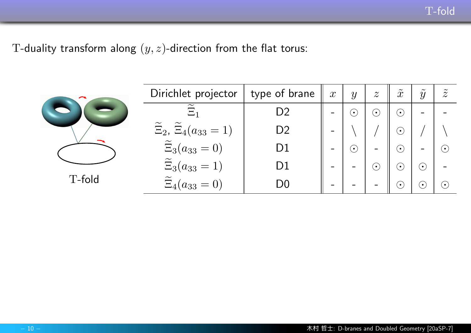T-duality transform along (*y, z*)-direction from the flat torus:

| $\rightarrow$ | Dirichlet projector                                 | type of brane  | $\boldsymbol{x}$             | $\mathcal{Y}$                | $\boldsymbol{z}$  | $\tilde{\phantom{a}}$<br>$\mathcal{X}$ | $\tilde{\phantom{a}}$<br>$\mathcal{Y}$ | $\tilde{\phantom{a}}$<br>$\overline{\mathcal{Z}}$ |
|---------------|-----------------------------------------------------|----------------|------------------------------|------------------------------|-------------------|----------------------------------------|----------------------------------------|---------------------------------------------------|
|               | $\Xi_1$                                             | D <sub>2</sub> | -                            | $\bigodot$                   | $\bigodot$        | $\overline{(\cdot)}$                   | $\equiv$                               |                                                   |
|               | $\widetilde{\Xi}_2$ , $\widetilde{\Xi}_4(a_{33}=1)$ | D2             | -                            |                              |                   | $\left[ \bullet \right]$               |                                        |                                                   |
|               | $\widetilde{\Xi}_3(a_{33}=0)$                       | D1             | $\qquad \qquad \blacksquare$ | $\bigodot$                   | $\blacksquare$    | $\left(\bullet\right)$                 | $\qquad \qquad \blacksquare$           | $(\bullet)$                                       |
|               | $\widetilde{\Xi}_3(a_{33}=1)$                       | D1             | $\qquad \qquad$              | -                            | $\bigodot$        | $\left(\bullet\right)$                 | $\left(\bullet\right)$                 |                                                   |
| T-fold        | $\widetilde{\Xi}_4(a_{33}=0)$                       | D0             | $\qquad \qquad \blacksquare$ | $\qquad \qquad \blacksquare$ | $\qquad \qquad =$ | $\left( \bullet \right)$               | $\left( \bullet \right)$               | $(\bullet)$                                       |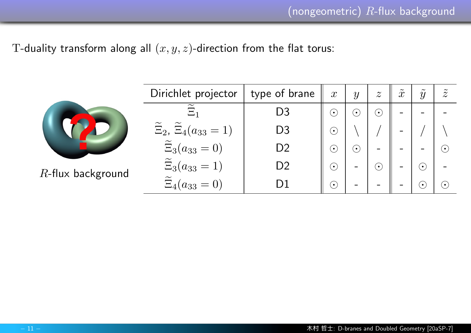T-duality transform along all (*x, y, z*)-direction from the flat torus:

|                      | Dirichlet projector                                 | type of brane | $\mathcal{X}$            | $\mathcal{Y}$          | $\boldsymbol{z}$ | $\mathcal{X}$   | $\tilde{\phantom{a}}$<br>$\overline{y}$ | $\overline{\mathcal{Z}}$ |
|----------------------|-----------------------------------------------------|---------------|--------------------------|------------------------|------------------|-----------------|-----------------------------------------|--------------------------|
|                      | $\widetilde{\phantom{m}}$<br>$\Xi_1$                | D3            | $\left( \bullet \right)$ | $\dot{\mathbf{\cdot}}$ | $\bf{(\cdot)}$   | $\qquad \qquad$ |                                         |                          |
|                      | $\widetilde{\Xi}_2$ , $\widetilde{\Xi}_4(a_{33}=1)$ | D3            | $\left( \bullet \right)$ |                        |                  |                 |                                         |                          |
|                      | $\widetilde{\Xi}_3(a_{33}=0)$                       | D2            | $(\bullet)$              | $\odot$                | $\blacksquare$   | $\equiv$        | $\equiv$                                | $\left( \bullet \right)$ |
| $R$ -flux background | $\widetilde{\Xi}_3(a_{33}=1)$                       | D2            | $(\boldsymbol{\cdot})$   | -                      | $\bf{(\cdot)}$   | $\equiv$        | $\bf \odot$                             | $\sim$                   |
|                      | $\widetilde{\Xi}_4$<br>$(a_{33}=0)$                 |               | $(\bullet)$              | $\blacksquare$         | $\equiv$         | $\equiv$        | $\left[ \bullet \right]$                | $(\bullet)$              |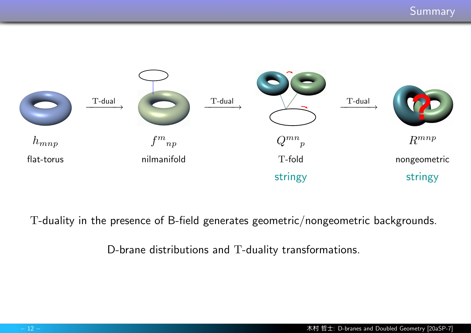

T-duality in the presence of B-field generates geometric/nongeometric backgrounds.

D-brane distributions and T-duality transformations.